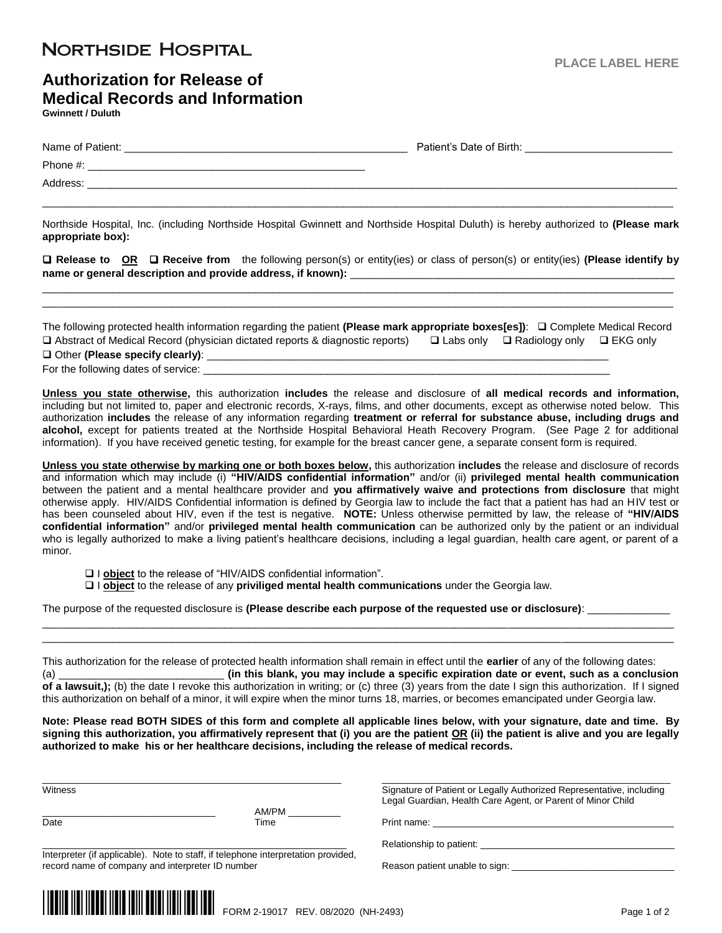## **NORTHSIDE HOSPITAL**

## **Authorization for Release of Medical Records and Information Gwinnett / Duluth**

| Name of Patient: | Patient's Date of Birth: |
|------------------|--------------------------|
| Phone #:         |                          |
| Address:         |                          |

Northside Hospital, Inc. (including Northside Hospital Gwinnett and Northside Hospital Duluth) is hereby authorized to **(Please mark appropriate box):**

\_\_\_\_\_\_\_\_\_\_\_\_\_\_\_\_\_\_\_\_\_\_\_\_\_\_\_\_\_\_\_\_\_\_\_\_\_\_\_\_\_\_\_\_\_\_\_\_\_\_\_\_\_\_\_\_\_\_\_\_\_\_\_\_\_\_\_\_\_\_\_\_\_\_\_\_\_\_\_\_\_\_\_\_\_\_\_\_\_\_\_\_\_\_\_\_\_\_\_\_\_\_\_\_\_\_\_

 **Release to OR Receive from** the following person(s) or entity(ies) or class of person(s) or entity(ies) **(Please identify by**  name or general description and provide address, if known):

\_\_\_\_\_\_\_\_\_\_\_\_\_\_\_\_\_\_\_\_\_\_\_\_\_\_\_\_\_\_\_\_\_\_\_\_\_\_\_\_\_\_\_\_\_\_\_\_\_\_\_\_\_\_\_\_\_\_\_\_\_\_\_\_\_\_\_\_\_\_\_\_\_\_\_\_\_\_\_\_\_\_\_\_\_\_\_\_\_\_\_\_\_\_\_\_\_\_\_\_\_\_\_\_\_\_\_ \_\_\_\_\_\_\_\_\_\_\_\_\_\_\_\_\_\_\_\_\_\_\_\_\_\_\_\_\_\_\_\_\_\_\_\_\_\_\_\_\_\_\_\_\_\_\_\_\_\_\_\_\_\_\_\_\_\_\_\_\_\_\_\_\_\_\_\_\_\_\_\_\_\_\_\_\_\_\_\_\_\_\_\_\_\_\_\_\_\_\_\_\_\_\_\_\_\_\_\_\_\_\_\_\_\_\_

The following protected health information regarding the patient **(Please mark appropriate boxes[es])**: Complete Medical Record  $\Box$  Abstract of Medical Record (physician dictated reports & diagnostic reports)  $\Box$  Labs only  $\Box$  Radiology only  $\Box$  EKG only Other **(Please specify clearly)**: \_\_\_\_\_\_\_\_\_\_\_\_\_\_\_\_\_\_\_\_\_\_\_\_\_\_\_\_\_\_\_\_\_\_\_\_\_\_\_\_\_\_\_\_\_\_\_\_\_\_\_\_\_\_\_\_\_\_\_\_\_\_\_\_\_\_\_\_

For the following dates of service:  $\frac{1}{2}$ 

**Unless you state otherwise,** this authorization **includes** the release and disclosure of **all medical records and information,** including but not limited to, paper and electronic records, X-rays, films, and other documents, except as otherwise noted below. This authorization **includes** the release of any information regarding **treatment or referral for substance abuse, including drugs and alcohol,** except for patients treated at the Northside Hospital Behavioral Heath Recovery Program. (See Page 2 for additional information). If you have received genetic testing, for example for the breast cancer gene, a separate consent form is required.

**Unless you state otherwise by marking one or both boxes below,** this authorization **includes** the release and disclosure of records and information which may include (i) **"HIV/AIDS confidential information"** and/or (ii) **privileged mental health communication** between the patient and a mental healthcare provider and **you affirmatively waive and protections from disclosure** that might otherwise apply. HIV/AIDS Confidential information is defined by Georgia law to include the fact that a patient has had an HIV test or has been counseled about HIV, even if the test is negative. **NOTE:** Unless otherwise permitted by law, the release of **"HIV/AIDS confidential information"** and/or **privileged mental health communication** can be authorized only by the patient or an individual who is legally authorized to make a living patient's healthcare decisions, including a legal guardian, health care agent, or parent of a minor.

- □ **l object** to the release of "HIV/AIDS confidential information".
- I **object** to the release of any **priviliged mental health communications** under the Georgia law.

The purpose of the requested disclosure is **(Please describe each purpose of the requested use or disclosure)**: \_\_\_\_\_\_\_\_\_\_\_\_\_\_

This authorization for the release of protected health information shall remain in effect until the **earlier** of any of the following dates: (a) \_\_\_\_\_\_\_\_\_\_\_\_\_\_\_\_\_\_\_\_\_\_\_\_\_\_\_\_ **(in this blank, you may include a specific expiration date or event, such as a conclusion of a lawsuit,);** (b) the date I revoke this authorization in writing; or (c) three (3) years from the date I sign this authorization. If I signed

\_\_\_\_\_\_\_\_\_\_\_\_\_\_\_\_\_\_\_\_\_\_\_\_\_\_\_\_\_\_\_\_\_\_\_\_\_\_\_\_\_\_\_\_\_\_\_\_\_\_\_\_\_\_\_\_\_\_\_\_\_\_\_\_\_\_\_\_\_\_\_\_\_\_\_\_\_\_\_\_\_\_\_\_\_\_\_\_\_\_\_\_\_\_\_\_\_\_\_\_\_\_\_\_\_\_\_ \_\_\_\_\_\_\_\_\_\_\_\_\_\_\_\_\_\_\_\_\_\_\_\_\_\_\_\_\_\_\_\_\_\_\_\_\_\_\_\_\_\_\_\_\_\_\_\_\_\_\_\_\_\_\_\_\_\_\_\_\_\_\_\_\_\_\_\_\_\_\_\_\_\_\_\_\_\_\_\_\_\_\_\_\_\_\_\_\_\_\_\_\_\_\_\_\_\_\_\_\_\_\_\_\_\_\_

this authorization on behalf of a minor, it will expire when the minor turns 18, marries, or becomes emancipated under Georgia law.

**Note: Please read BOTH SIDES of this form and complete all applicable lines below, with your signature, date and time. By signing this authorization, you affirmatively represent that (i) you are the patient OR (ii) the patient is alive and you are legally authorized to make his or her healthcare decisions, including the release of medical records.**

\_\_\_\_\_\_\_\_\_\_\_\_\_\_\_\_\_\_\_\_\_\_\_\_\_\_\_\_\_\_\_\_\_ AM/PM \_\_\_\_\_\_\_\_\_\_

\_\_\_\_\_\_\_\_\_\_\_\_\_\_\_\_\_\_\_\_\_\_\_\_\_\_\_\_\_\_\_\_\_\_\_\_\_\_\_\_\_\_\_\_\_\_\_\_\_\_\_\_\_\_\_\_\_ \_\_\_\_\_\_\_\_\_\_\_\_\_\_\_\_\_\_\_\_\_\_\_\_\_\_\_\_\_\_\_\_\_\_\_\_\_\_\_\_\_\_\_\_\_\_\_\_\_\_\_\_\_\_\_ Witness **Signature of Patient or Legally Authorized Representative**, including Legal Guardian, Health Care Agent, or Parent of Minor Child

Date Time Print name: \_\_\_\_\_\_\_\_\_\_\_\_\_\_\_\_\_\_\_\_\_\_\_\_\_\_\_\_\_\_\_\_\_\_\_\_\_\_\_\_\_\_\_\_\_\_

Relationship to patient: \_\_

Interpreter (if applicable). Note to staff, if telephone interpretation provided, record name of company and interpreter ID number Reason patient unable to sign: \_\_\_\_\_\_\_\_\_\_\_\_\_\_\_\_\_\_\_\_\_\_\_\_\_\_\_\_\_\_\_